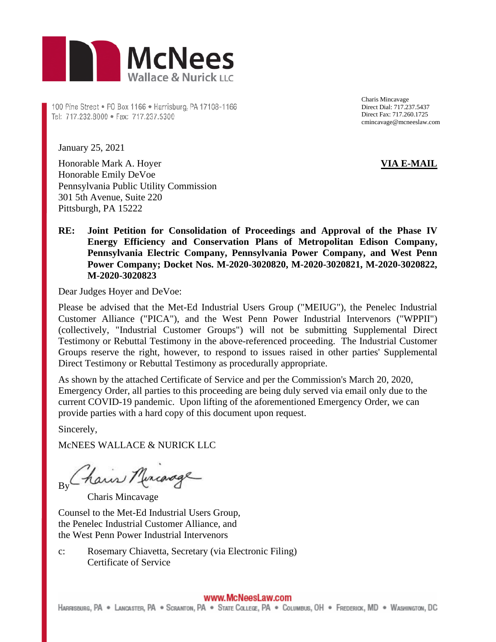

100 Pine Street . P0 Box 1166 . Harrisburg, PA 17108-1166 Tel: 717.232.8000 · Fax: 717.237.5300

Charis Mincavage Direct Dial: 717.237.5437 Direct Fax: 717.260.1725 cmincavage@mcneeslaw.com

January 25, 2021

Honorable Mark A. Hoyer Honorable Emily DeVoe Pennsylvania Public Utility Commission 301 5th Avenue, Suite 220 Pittsburgh, PA 15222

## **VIA E-MAIL**

## **RE: Joint Petition for Consolidation of Proceedings and Approval of the Phase IV Energy Efficiency and Conservation Plans of Metropolitan Edison Company, Pennsylvania Electric Company, Pennsylvania Power Company, and West Penn Power Company; Docket Nos. M-2020-3020820, M-2020-3020821, M-2020-3020822, M-2020-3020823**

Dear Judges Hoyer and DeVoe:

Please be advised that the Met-Ed Industrial Users Group ("MEIUG"), the Penelec Industrial Customer Alliance ("PICA"), and the West Penn Power Industrial Intervenors ("WPPII") (collectively, "Industrial Customer Groups") will not be submitting Supplemental Direct Testimony or Rebuttal Testimony in the above-referenced proceeding. The Industrial Customer Groups reserve the right, however, to respond to issues raised in other parties' Supplemental Direct Testimony or Rebuttal Testimony as procedurally appropriate.

As shown by the attached Certificate of Service and per the Commission's March 20, 2020, Emergency Order, all parties to this proceeding are being duly served via email only due to the current COVID-19 pandemic. Upon lifting of the aforementioned Emergency Order, we can provide parties with a hard copy of this document upon request.

Sincerely,

McNEES WALLACE & NURICK LLC

By Chain Murcarage

Charis Mincavage

Counsel to the Met-Ed Industrial Users Group, the Penelec Industrial Customer Alliance, and the West Penn Power Industrial Intervenors

c: Rosemary Chiavetta, Secretary (via Electronic Filing) Certificate of Service